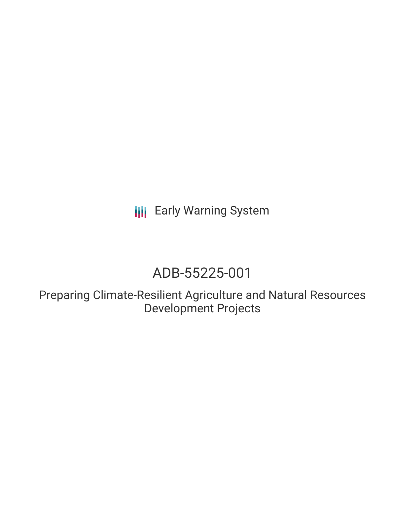**III** Early Warning System

# ADB-55225-001

Preparing Climate-Resilient Agriculture and Natural Resources Development Projects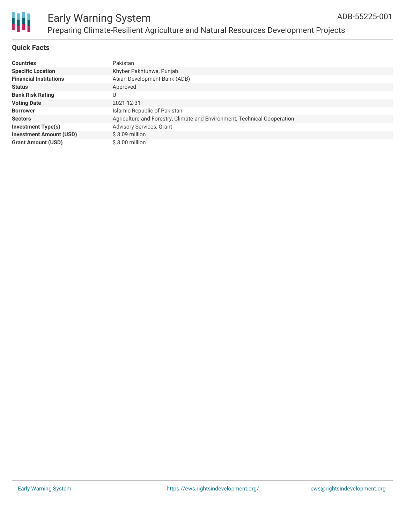

### Early Warning System Preparing Climate-Resilient Agriculture and Natural Resources Development Projects

### **Quick Facts**

| <b>Countries</b>               | Pakistan                                                                 |
|--------------------------------|--------------------------------------------------------------------------|
| <b>Specific Location</b>       | Khyber Pakhtunwa, Punjab                                                 |
| <b>Financial Institutions</b>  | Asian Development Bank (ADB)                                             |
| <b>Status</b>                  | Approved                                                                 |
| <b>Bank Risk Rating</b>        |                                                                          |
| <b>Voting Date</b>             | 2021-12-31                                                               |
| <b>Borrower</b>                | Islamic Republic of Pakistan                                             |
| <b>Sectors</b>                 | Agriculture and Forestry, Climate and Environment, Technical Cooperation |
| <b>Investment Type(s)</b>      | Advisory Services, Grant                                                 |
| <b>Investment Amount (USD)</b> | \$3.09 million                                                           |
| <b>Grant Amount (USD)</b>      | \$3.00 million                                                           |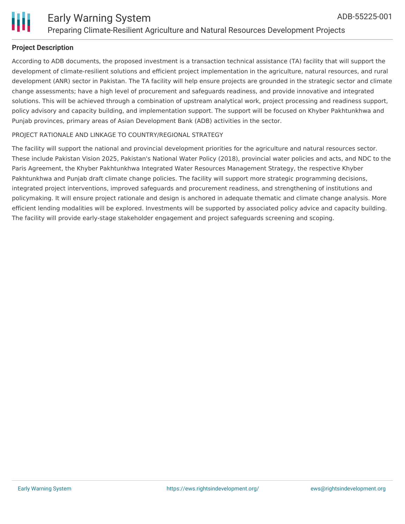

### **Project Description**

According to ADB documents, the proposed investment is a transaction technical assistance (TA) facility that will support the development of climate-resilient solutions and efficient project implementation in the agriculture, natural resources, and rural development (ANR) sector in Pakistan. The TA facility will help ensure projects are grounded in the strategic sector and climate change assessments; have a high level of procurement and safeguards readiness, and provide innovative and integrated solutions. This will be achieved through a combination of upstream analytical work, project processing and readiness support, policy advisory and capacity building, and implementation support. The support will be focused on Khyber Pakhtunkhwa and Punjab provinces, primary areas of Asian Development Bank (ADB) activities in the sector.

### PROJECT RATIONALE AND LINKAGE TO COUNTRY/REGIONAL STRATEGY

The facility will support the national and provincial development priorities for the agriculture and natural resources sector. These include Pakistan Vision 2025, Pakistan's National Water Policy (2018), provincial water policies and acts, and NDC to the Paris Agreement, the Khyber Pakhtunkhwa Integrated Water Resources Management Strategy, the respective Khyber Pakhtunkhwa and Punjab draft climate change policies. The facility will support more strategic programming decisions, integrated project interventions, improved safeguards and procurement readiness, and strengthening of institutions and policymaking. It will ensure project rationale and design is anchored in adequate thematic and climate change analysis. More efficient lending modalities will be explored. Investments will be supported by associated policy advice and capacity building. The facility will provide early-stage stakeholder engagement and project safeguards screening and scoping.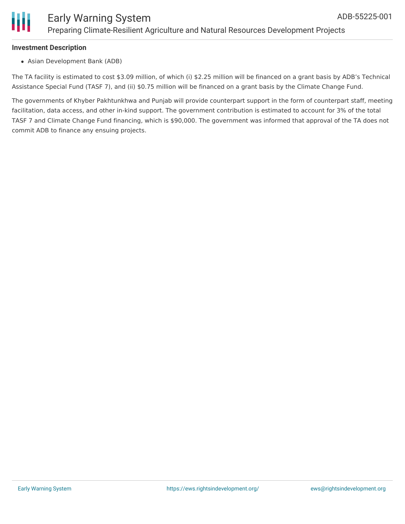

### **Investment Description**

Asian Development Bank (ADB)

The TA facility is estimated to cost \$3.09 million, of which (i) \$2.25 million will be financed on a grant basis by ADB's Technical Assistance Special Fund (TASF 7), and (ii) \$0.75 million will be financed on a grant basis by the Climate Change Fund.

The governments of Khyber Pakhtunkhwa and Punjab will provide counterpart support in the form of counterpart staff, meeting facilitation, data access, and other in-kind support. The government contribution is estimated to account for 3% of the total TASF 7 and Climate Change Fund financing, which is \$90,000. The government was informed that approval of the TA does not commit ADB to finance any ensuing projects.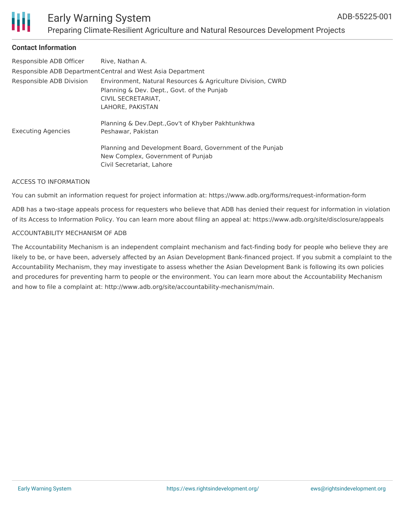

### Early Warning System Preparing Climate-Resilient Agriculture and Natural Resources Development Projects

### **Contact Information**

| Responsible ADB Officer                                     | Rive, Nathan A.                                                                                                                                     |  |
|-------------------------------------------------------------|-----------------------------------------------------------------------------------------------------------------------------------------------------|--|
| Responsible ADB Department Central and West Asia Department |                                                                                                                                                     |  |
| Responsible ADB Division                                    | Environment, Natural Resources & Agriculture Division, CWRD<br>Planning & Dev. Dept., Govt. of the Punjab<br>CIVIL SECRETARIAT,<br>LAHORE, PAKISTAN |  |
| <b>Executing Agencies</b>                                   | Planning & Dev.Dept., Gov't of Khyber Pakhtunkhwa<br>Peshawar, Pakistan                                                                             |  |
|                                                             | Planning and Development Board, Government of the Punjab<br>New Complex, Government of Punjab<br>Civil Secretariat, Lahore                          |  |

#### ACCESS TO INFORMATION

You can submit an information request for project information at: https://www.adb.org/forms/request-information-form

ADB has a two-stage appeals process for requesters who believe that ADB has denied their request for information in violation of its Access to Information Policy. You can learn more about filing an appeal at: https://www.adb.org/site/disclosure/appeals

#### ACCOUNTABILITY MECHANISM OF ADB

The Accountability Mechanism is an independent complaint mechanism and fact-finding body for people who believe they are likely to be, or have been, adversely affected by an Asian Development Bank-financed project. If you submit a complaint to the Accountability Mechanism, they may investigate to assess whether the Asian Development Bank is following its own policies and procedures for preventing harm to people or the environment. You can learn more about the Accountability Mechanism and how to file a complaint at: http://www.adb.org/site/accountability-mechanism/main.